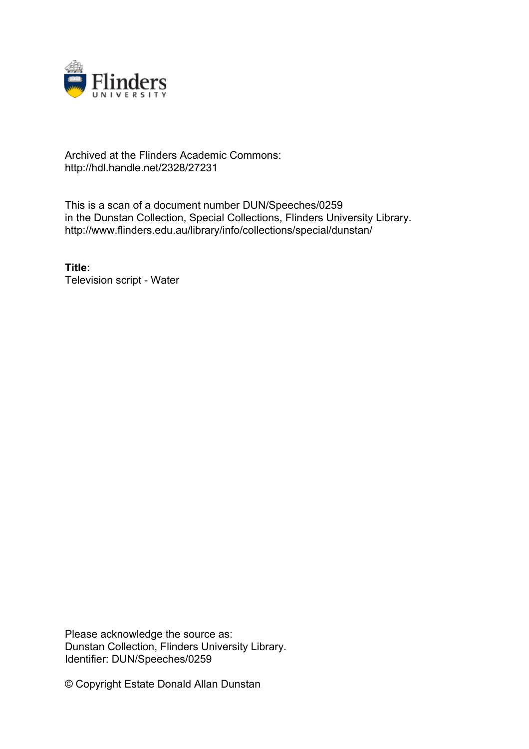

#### Archived at the Flinders Academic Commons: http://hdl.handle.net/2328/27231

This is a scan of a document number DUN/Speeches/0259 in the Dunstan Collection, Special Collections, Flinders University Library. http://www.flinders.edu.au/library/info/collections/special/dunstan/

**Title:** Television script - Water

Please acknowledge the source as: Dunstan Collection, Flinders University Library. Identifier: DUN/Speeches/0259

© Copyright Estate Donald Allan Dunstan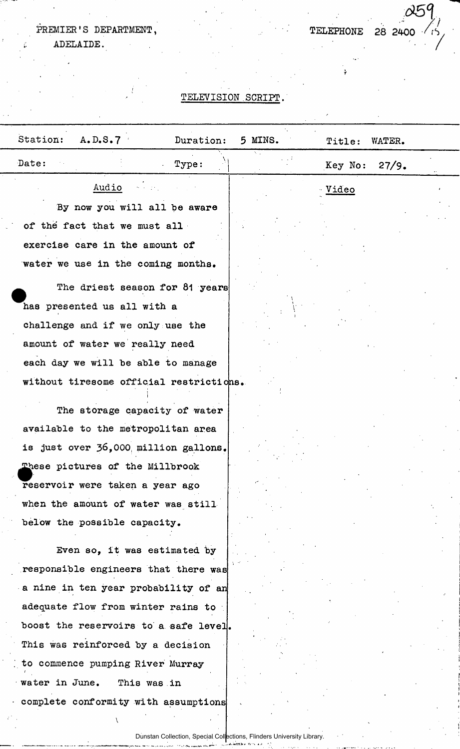### PREMIER <sup>1</sup>S DEPARTMENT,

ADELAIDE.

### TELEVISION SCRIPT.

 $\frac{\alpha59}{15}$ 

| Station:<br>A.D.S.7                                                                                              | Duration: | 5 MINS. | Title:        | WATER. |
|------------------------------------------------------------------------------------------------------------------|-----------|---------|---------------|--------|
| Date:                                                                                                            | Type:     | ٧.      | Key No:       | 27/9.  |
| Audio<br>By now you will all be aware<br>of the fact that we must all<br>exercise care in the amount of          |           |         | <u> Video</u> |        |
| water we use in the coming months.                                                                               |           |         |               |        |
| The driest season for 81 years<br>has presented us all with a<br>challenge and if we only use the                |           |         |               |        |
| amount of water we really need<br>each day we will be able to manage<br>without tiresome official restrictions.  |           |         |               |        |
| The storage capacity of water<br>available to the metropolitan area                                              |           |         |               |        |
| is just over 36,000 million gallons.<br>These pictures of the Millbrook<br>reservoir were taken a year ago       |           |         |               |        |
| when the amount of water was still<br>below the possible capacity.<br>Even so, it was estimated by               |           |         |               |        |
| responsible engineers that there was<br>a nine in ten year probability of an                                     |           |         |               |        |
| adequate flow from winter rains to<br>boost the reservoirs to a safe level.<br>This was reinforced by a decision |           |         |               |        |
| to commence pumping River Murray<br>water in June.<br>This was in                                                |           |         |               |        |
| complete conformity with assumptions                                                                             |           |         |               |        |

Dunstan Collection, Special Collections, Flinders University Library.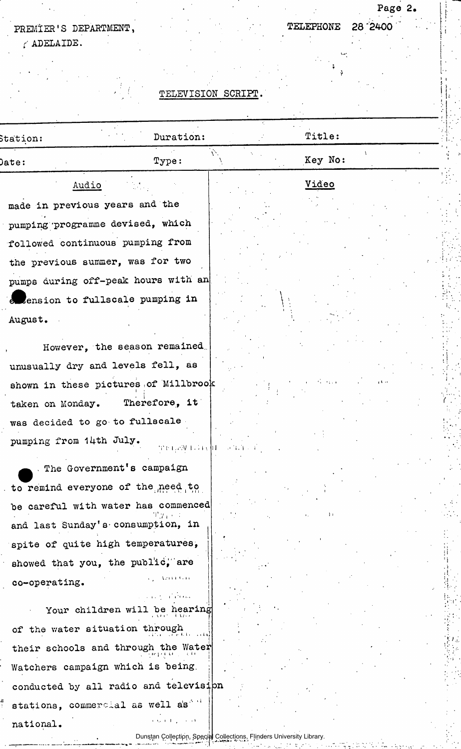## PREMIER'S DEPARTMENT,

 $\epsilon$  ADELAIDE.

# TELEPHONE 28 "2400

•j

# Page 2.

## TELEVISION SCRIPT.

| Station:                              | Duration:                                                                                            |                                | Title:  |              |  |
|---------------------------------------|------------------------------------------------------------------------------------------------------|--------------------------------|---------|--------------|--|
| ${\tt Date:}$                         | Type:                                                                                                | Ŵ.                             | Key No: |              |  |
| Audio                                 |                                                                                                      |                                | Video   |              |  |
| made in previous years and the        |                                                                                                      |                                |         |              |  |
| pumping programme devised, which      |                                                                                                      |                                |         |              |  |
| followed continuous pumping from      |                                                                                                      |                                |         |              |  |
| the previous summer, was for two      |                                                                                                      |                                |         |              |  |
| pumps during off-peak hours with an   |                                                                                                      |                                |         |              |  |
| extension to fullscale pumping in     |                                                                                                      |                                |         |              |  |
| August.                               |                                                                                                      |                                |         |              |  |
| However, the season remained          |                                                                                                      |                                |         |              |  |
| unusually dry and levels fell, as     |                                                                                                      |                                |         |              |  |
| shown in these pictures of Millbrook  |                                                                                                      |                                |         | ومنقبق       |  |
| taken on Monday. Therefore, it        |                                                                                                      |                                |         |              |  |
| was decided to go to fullscale        |                                                                                                      |                                |         |              |  |
| pumping from 14th July.               |                                                                                                      | die nacht in Friedrich von der |         |              |  |
| The Government's campaign             |                                                                                                      |                                |         |              |  |
| to remind everyone of the need to     |                                                                                                      |                                |         |              |  |
| be careful with water has commenced   |                                                                                                      |                                |         |              |  |
| and last Sunday's consumption, in     |                                                                                                      |                                |         | $\mathbf{1}$ |  |
| spite of quite high temperatures,     |                                                                                                      |                                |         |              |  |
| showed that you, the public, are      |                                                                                                      |                                |         |              |  |
| co-operating.                         | $\Delta$ 2134 $\Delta$ 344 $\Delta$                                                                  |                                |         |              |  |
|                                       | <b>CONTRACTOR</b>                                                                                    |                                |         |              |  |
| Your children will be hearing         |                                                                                                      |                                |         |              |  |
| of the water situation through        |                                                                                                      |                                |         |              |  |
| their schools and through the Water   |                                                                                                      |                                |         |              |  |
| Watchers campaign which is being      |                                                                                                      |                                |         |              |  |
| conducted by all radio and television |                                                                                                      |                                |         |              |  |
| stations, commercial as well as "     |                                                                                                      |                                |         |              |  |
| national.                             | and a result of the control<br>Dunstan Collection, Special Collections, Flinders University Library. |                                |         |              |  |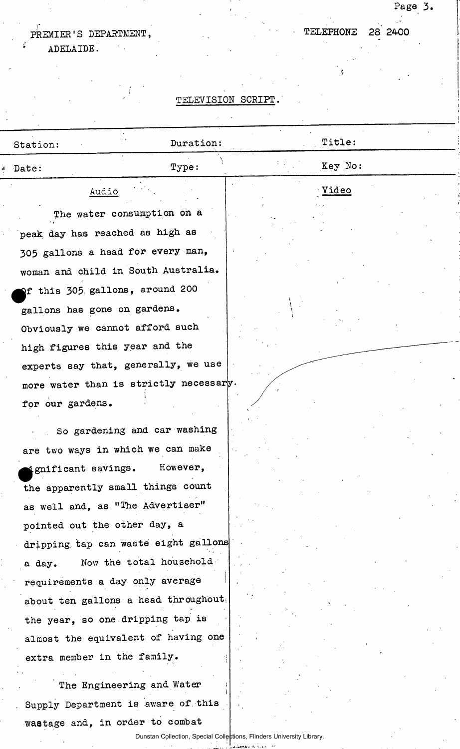# PREMIER'S DEPARTMENT, TELEPHONE 28 2400

ADELAIDE.

## TELEVISION SCRIPT.

Page 3.

| Station:                        | Duration:                              | Title:  |
|---------------------------------|----------------------------------------|---------|
| Date:                           | Type:                                  | Key No: |
| Audio                           |                                        | Video   |
|                                 | The water consumption on a             |         |
| peak day has reached as high as |                                        |         |
|                                 | 305 gallons a head for every man,      |         |
|                                 | woman and child in South Australia.    |         |
|                                 | of this 305 gallons, around 200        |         |
| gallons has gone on gardens.    |                                        |         |
|                                 | Obviously we cannot afford such        |         |
| high figures this year and the  |                                        |         |
|                                 | experts say that, generally, we use    |         |
|                                 | more water than is strictly necessary. |         |
| for our gardens.                |                                        |         |
|                                 | So gardening and car washing           |         |
|                                 | are two ways in which we can make      |         |
| ignificant savings.             | However,                               |         |
|                                 | the apparently small things count      |         |
|                                 | as well and, as "The Advertiser"       |         |
| pointed out the other day, a    |                                        |         |
|                                 | dripping tap can waste eight gallons   |         |
| a day.                          | Now the total household                |         |
|                                 | requirements a day only average        |         |
|                                 | about ten gallons a head throughout    |         |
|                                 | the year, so one dripping tap is       |         |
|                                 | almost the equivalent of having one    |         |
| extra member in the family.     |                                        |         |
|                                 | The Engineering and Water              |         |
|                                 | Supply Department is aware of this     |         |
|                                 | wastage and, in order to combat        |         |
|                                 |                                        |         |

Dunstan Collection, Special Collections, Flinders University Library.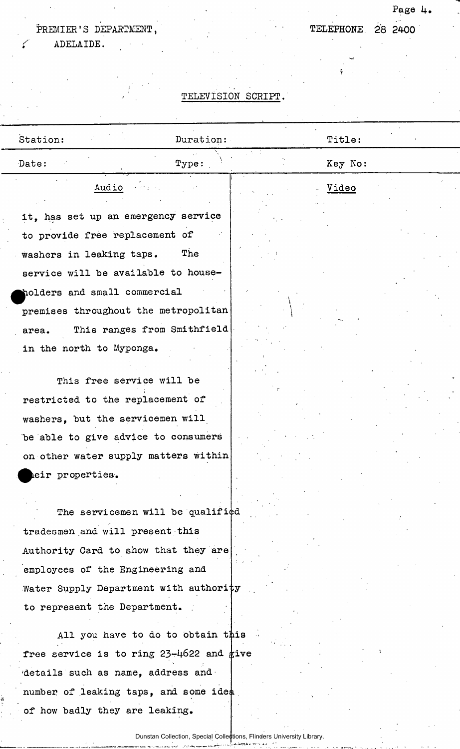## PREMIER'S DEPARTMENT, TELEPHONE 28 2400

ADELAIDE.

## **Page 1+.**

### TELEVISION SCRIPT.

| Station:                                 | Duration: | Title:  |  |
|------------------------------------------|-----------|---------|--|
| Date:                                    | Type:     | Key No: |  |
| Audio and                                |           | Video   |  |
| it, has set up an emergency service      |           |         |  |
| to provide free replacement of           |           |         |  |
| washers in leaking taps.                 | The       |         |  |
| service will be available to house-      |           |         |  |
| holders and small commercial             |           |         |  |
| premises throughout the metropolitan     |           |         |  |
| This ranges from Smithfield<br>area.     |           |         |  |
| in the north to Myponga.                 |           |         |  |
| This free service will be                |           |         |  |
| restricted to the replacement of         |           |         |  |
| washers, but the servicemen will         |           |         |  |
| be able to give advice to consumers      |           |         |  |
| on other water supply matters within     |           |         |  |
| eir properties.                          |           |         |  |
| The servicemen will be qualified         |           |         |  |
| tradesmen and will present this          |           |         |  |
| Authority Card to show that they are     |           |         |  |
| employees of the Engineering and         |           |         |  |
| Water Supply Department with authority   |           |         |  |
| to represent the Department.             |           |         |  |
|                                          |           |         |  |
| All you have to do to obtain this        |           |         |  |
| free service is to ring 23-4622 and give |           |         |  |
| details such as name, address and        |           |         |  |
| number of leaking taps, and some idea    |           |         |  |
| of how badly they are leaking.           |           |         |  |